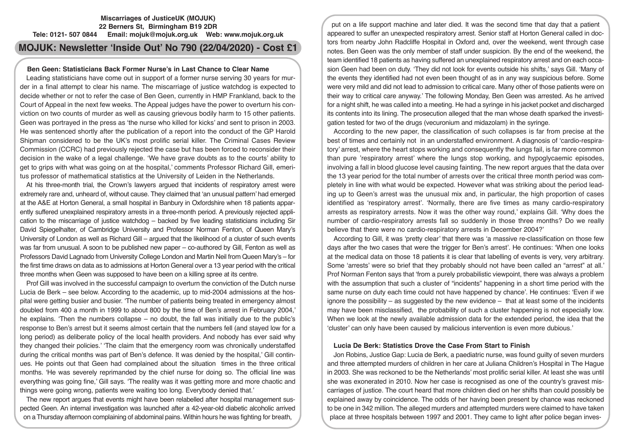# **Miscarriages of JusticeUK (MOJUK) 22 Berners St, Birmingham B19 2DR Tele: 0121- 507 0844 Email: mojuk@mojuk.org.uk Web: www.mojuk.org.uk**

# **MOJUK: Newsletter 'Inside Out' No 790 (22/04/2020) - Cost £1**

# **Ben Geen: Statisticians Back Former Nurse's in Last Chance to Clear Name**

Leading statisticians have come out in support of a former nurse serving 30 years for murder in a final attempt to clear his name. The miscarriage of justice watchdog is expected to decide whether or not to refer the case of Ben Geen, currently in HMP Frankland, back to the Court of Appeal in the next few weeks. The Appeal judges have the power to overturn his conviction on two counts of murder as well as causing grievous bodily harm to 15 other patients. Geen was portrayed in the press as 'the nurse who killed for kicks' and sent to prison in 2003. He was sentenced shortly after the publication of a report into the conduct of the GP Harold Shipman considered to be the UK's most prolific serial killer. The Criminal Cases Review Commission (CCRC) had previously rejected the case but has been forced to reconsider their decision in the wake of a legal challenge. 'We have grave doubts as to the courts' ability to get to grips with what was going on at the hospital,' comments Professor Richard Gill, emeritus professor of mathematical statistics at the University of Leiden in the Netherlands.

At his three-month trial, the Crown's lawyers argued that incidents of respiratory arrest were extremely rare and, unheard of, without cause. They claimed that 'an unusual pattern' had emerged at the A&E at Horton General, a small hospital in Banbury in Oxfordshire when 18 patients apparently suffered unexplained respiratory arrests in a three-month period. A previously rejected application to the miscarriage of justice watchdog – backed by five leading statisticians including Sir David Spiegelhalter, of Cambridge University and Professor Norman Fenton, of Queen Mary's University of London as well as Richard Gill – argued that the likelihood of a cluster of such events was far from unusual. A soon to be published new paper – co-authored by Gill, Fenton as well as Professors David Lagnado from University College London and Martin Neil from Queen Mary's – for the first time draws on data as to admissions at Horton General over a 13 year period with the critical three months when Geen was supposed to have been on a killing spree at its centre.

Prof Gill was involved in the successful campaign to overturn the conviction of the Dutch nurse Lucia de Berk – see below. According to the academic, up to mid-2004 admissions at the hospital were getting busier and busier. 'The number of patients being treated in emergency almost doubled from 400 a month in 1999 to about 800 by the time of Ben's arrest in February 2004,' he explains. 'Then the numbers collapse – no doubt, the fall was initially due to the public's response to Ben's arrest but it seems almost certain that the numbers fell (and stayed low for a long period) as deliberate policy of the local health providers. And nobody has ever said why they changed their policies.' 'The claim that the emergency room was chronically understaffed during the critical months was part of Ben's defence. It was denied by the hospital,' Gill continues. He points out that Geen had complained about the situation times in the three critical months. 'He was severely reprimanded by the chief nurse for doing so. The official line was everything was going fine,' Gill says. 'The reality was it was getting more and more chaotic and things were going wrong, patients were waiting too long. Everybody denied that.'

The new report argues that events might have been relabelled after hospital management suspected Geen. An internal investigation was launched after a 42-year-old diabetic alcoholic arrived on a Thursday afternoon complaining of abdominal pains. Within hours he was fighting for breath,

put on a life support machine and later died. It was the second time that day that a patient appeared to suffer an unexpected respiratory arrest. Senior staff at Horton General called in doctors from nearby John Radcliffe Hospital in Oxford and, over the weekend, went through case notes. Ben Geen was the only member of staff under suspicion. By the end of the weekend, the team identified 18 patients as having suffered an unexplained respiratory arrest and on each occasion Geen had been on duty. 'They did not look for events outside his shifts,' says Gill. 'Many of the events they identified had not even been thought of as in any way suspicious before. Some were very mild and did not lead to admission to critical care. Many other of those patients were on their way to critical care anyway.' The following Monday, Ben Geen was arrested. As he arrived for a night shift, he was called into a meeting. He had a syringe in his jacket pocket and discharged its contents into its lining. The prosecution alleged that the man whose death sparked the investigation tested for two of the drugs (vecuronium and midazolam) in the syringe.

According to the new paper, the classification of such collapses is far from precise at the best of times and certainly not in an understaffed environment. A diagnosis of 'cardio-respiratory' arrest, where the heart stops working and consequently the lungs fail, is far more common than pure 'respiratory arrest' where the lungs stop working, and hypoglycaemic episodes, involving a fall in blood glucose level causing fainting. The new report argues that the data over the 13 year period for the total number of arrests over the critical three month period was completely in line with what would be expected. However what was striking about the period leading up to Geen's arrest was the unusual mix and, in particular, the high proportion of cases identified as 'respiratory arrest'. 'Normally, there are five times as many cardio-respiratory arrests as respiratory arrests. Now it was the other way round,' explains Gill. 'Why does the number of cardio-respiratory arrests fall so suddenly in those three months? Do we really believe that there were no cardio-respiratory arrests in December 2004?'

According to Gill, it was 'pretty clear' that there was 'a massive re-classification on those few days after the two cases that were the trigger for Ben's arrest'. He continues: 'When one looks at the medical data on those 18 patients it is clear that labelling of events is very, very arbitrary. Some 'arrests' were so brief that they probably should not have been called an "arrest" at all.' Prof Norman Fenton says that 'from a purely probabilistic viewpoint, there was always a problem with the assumption that such a cluster of "incidents" happening in a short time period with the same nurse on duty each time could not have happened by chance'. He continues: 'Even if we ignore the possibility – as suggested by the new evidence – that at least some of the incidents may have been misclassified, the probability of such a cluster happening is not especially low. When we look at the newly available admission data for the extended period, the idea that the 'cluster' can only have been caused by malicious intervention is even more dubious.'

#### **Lucia De Berk: Statistics Drove the Case From Start to Finish**

Jon Robins, Justice Gap: Lucia de Berk, a paediatric nurse, was found guilty of seven murders and three attempted murders of children in her care at Juliana Children's Hospital in The Hague in 2003. She was reckoned to be the Netherlands' most prolific serial killer. At least she was until she was exonerated in 2010. Now her case is recognised as one of the country's gravest miscarriages of justice. The court heard that more children died on her shifts than could possibly be explained away by coincidence. The odds of her having been present by chance was reckoned to be one in 342 million. The alleged murders and attempted murders were claimed to have taken place at three hospitals between 1997 and 2001. They came to light after police began inves-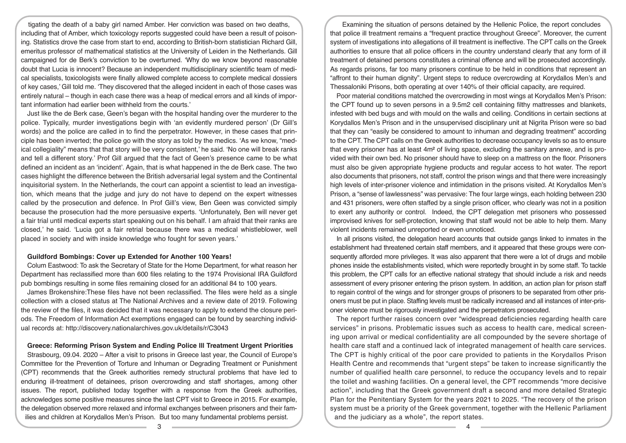tigating the death of a baby girl named Amber. Her conviction was based on two deaths, including that of Amber, which toxicology reports suggested could have been a result of poisoning. Statistics drove the case from start to end, according to British-born statistician Richard Gill, emeritus professor of mathematical statistics at the University of Leiden in the Netherlands. Gill campaigned for de Berk's conviction to be overturned. 'Why do we know beyond reasonable doubt that Lucia is innocent? Because an independent multidisciplinary scientific team of medical specialists, toxicologists were finally allowed complete access to complete medical dossiers of key cases,' Gill told me. 'They discovered that the alleged incident in each of those cases was entirely natural – though in each case there was a heap of medical errors and all kinds of important information had earlier been withheld from the courts.'

Just like the de Berk case, Geen's began with the hospital handing over the murderer to the police. Typically, murder investigations begin with 'an evidently murdered person' (Dr Gill's words) and the police are called in to find the perpetrator. However, in these cases that principle has been inverted; the police go with the story as told by the medics. 'As we know, "medical collegiality" means that that story will be very consistent,' he said. 'No one will break ranks and tell a different story.' Prof Gill argued that the fact of Geen's presence came to be what defined an incident as an 'incident'. Again, that is what happened in the de Berk case. The two cases highlight the difference between the British adversarial legal system and the Continental inquisitorial system. In the Netherlands, the court can appoint a scientist to lead an investigation, which means that the judge and jury do not have to depend on the expert witnesses called by the prosecution and defence. In Prof Gill's view, Ben Geen was convicted simply because the prosecution had the more persuasive experts. 'Unfortunately, Ben will never get a fair trial until medical experts start speaking out on his behalf. I am afraid that their ranks are closed,' he said. 'Lucia got a fair retrial because there was a medical whistleblower, well placed in society and with inside knowledge who fought for seven years.'

#### **Guildford Bombings: Cover up Extended for Another 100 Years!**

Colum Eastwood: To ask the Secretary of State for the Home Department, for what reason her Department has reclassified more than 600 files relating to the 1974 Provisional IRA Guildford pub bombings resulting in some files remaining closed for an additional 84 to 100 years.

James Brokenshire:These files have not been reclassified. The files were held as a single collection with a closed status at The National Archives and a review date of 2019. Following the review of the files, it was decided that it was necessary to apply to extend the closure periods. The Freedom of Information Act exemptions engaged can be found by searching individual records at: http://discovery.nationalarchives.gov.uk/details/r/C3043

#### **Greece: Reforming Prison System and Ending Police Ill Treatment Urgent Priorities**

Strasbourg, 09.04. 2020 – After a visit to prisons in Greece last year, the Council of Europe's Committee for the Prevention of Torture and Inhuman or Degrading Treatment or Punishment (CPT) recommends that the Greek authorities remedy structural problems that have led to enduring ill-treatment of detainees, prison overcrowding and staff shortages, among other issues. The report, published today together with a response from the Greek authorities, acknowledges some positive measures since the last CPT visit to Greece in 2015. For example, the delegation observed more relaxed and informal exchanges between prisoners and their families and children at Korydallos Men's Prison. But too many fundamental problems persist.

Examining the situation of persons detained by the Hellenic Police, the report concludes that police ill treatment remains a "frequent practice throughout Greece". Moreover, the current system of investigations into allegations of ill treatment is ineffective. The CPT calls on the Greek authorities to ensure that all police officers in the country understand clearly that any form of ill treatment of detained persons constitutes a criminal offence and will be prosecuted accordingly. As regards prisons, far too many prisoners continue to be held in conditions that represent an "affront to their human dignity". Urgent steps to reduce overcrowding at Korydallos Men's and Thessaloniki Prisons, both operating at over 140% of their official capacity, are required.

Poor material conditions matched the overcrowding in most wings at Korydallos Men's Prison: the CPT found up to seven persons in a 9.5m2 cell containing filthy mattresses and blankets, infested with bed bugs and with mould on the walls and ceiling. Conditions in certain sections at Korydallos Men's Prison and in the unsupervised disciplinary unit at Nigrita Prison were so bad that they can "easily be considered to amount to inhuman and degrading treatment" according to the CPT. The CPT calls on the Greek authorities to decrease occupancy levels so as to ensure that every prisoner has at least 4m² of living space, excluding the sanitary annexe, and is provided with their own bed. No prisoner should have to sleep on a mattress on the floor. Prisoners must also be given appropriate hygiene products and regular access to hot water. The report also documents that prisoners, not staff, control the prison wings and that there were increasingly high levels of inter-prisoner violence and intimidation in the prisons visited. At Korydallos Men's Prison, a "sense of lawlessness" was pervasive: The four large wings, each holding between 230 and 431 prisoners, were often staffed by a single prison officer, who clearly was not in a position to exert any authority or control. Indeed, the CPT delegation met prisoners who possessed improvised knives for self-protection, knowing that staff would not be able to help them. Many violent incidents remained unreported or even unnoticed.

In all prisons visited, the delegation heard accounts that outside gangs linked to inmates in the establishment had threatened certain staff members, and it appeared that these groups were consequently afforded more privileges. It was also apparent that there were a lot of drugs and mobile phones inside the establishments visited, which were reportedly brought in by some staff. To tackle this problem, the CPT calls for an effective national strategy that should include a risk and needs assessment of every prisoner entering the prison system. In addition, an action plan for prison staff to regain control of the wings and for stronger groups of prisoners to be separated from other prisoners must be put in place. Staffing levels must be radically increased and all instances of inter-prisoner violence must be rigorously investigated and the perpetrators prosecuted.

The report further raises concern over "widespread deficiencies regarding health care services" in prisons. Problematic issues such as access to health care, medical screening upon arrival or medical confidentiality are all compounded by the severe shortage of health care staff and a continued lack of integrated management of health care services. The CPT is highly critical of the poor care provided to patients in the Korydallos Prison Health Centre and recommends that "urgent steps" be taken to increase significantly the number of qualified health care personnel, to reduce the occupancy levels and to repair the toilet and washing facilities. On a general level, the CPT recommends "more decisive action", including that the Greek government draft a second and more detailed Strategic Plan for the Penitentiary System for the years 2021 to 2025. "The recovery of the prison system must be a priority of the Greek government, together with the Hellenic Parliament and the judiciary as a whole", the report states.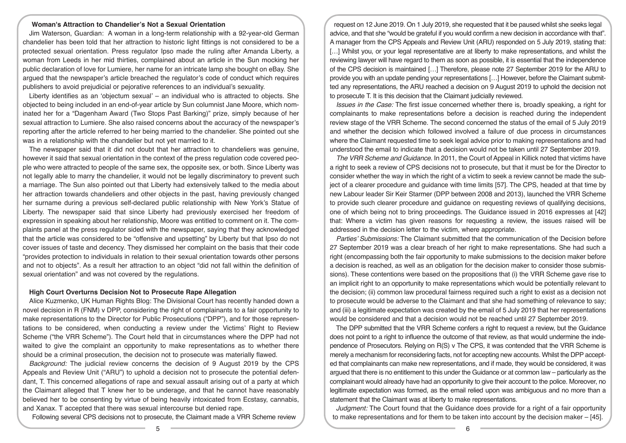# **Woman's Attraction to Chandelier's Not a Sexual Orientation**

Jim Waterson, Guardian: A woman in a long-term relationship with a 92-year-old German chandelier has been told that her attraction to historic light fittings is not considered to be a protected sexual orientation. Press regulator Ipso made the ruling after Amanda Liberty, a woman from Leeds in her mid thirties, complained about an article in the Sun mocking her public declaration of love for Lumiere, her name for an intricate lamp she bought on eBay. She argued that the newspaper's article breached the regulator's code of conduct which requires publishers to avoid prejudicial or pejorative references to an individual's sexuality.

Liberty identifies as an 'objectum sexual' – an individual who is attracted to objects. She objected to being included in an end-of-year article by Sun columnist Jane Moore, which nominated her for a "Dagenham Award (Two Stops Past Barking)" prize, simply because of her sexual attraction to Lumiere. She also raised concerns about the accuracy of the newspaper's reporting after the article referred to her being married to the chandelier. She pointed out she was in a relationship with the chandelier but not yet married to it.

The newspaper said that it did not doubt that her attraction to chandeliers was genuine, however it said that sexual orientation in the context of the press regulation code covered people who were attracted to people of the same sex, the opposite sex, or both. Since Liberty was not legally able to marry the chandelier, it would not be legally discriminatory to prevent such a marriage. The Sun also pointed out that Liberty had extensively talked to the media about her attraction towards chandeliers and other objects in the past, having previously changed her surname during a previous self-declared public relationship with New York's Statue of Liberty. The newspaper said that since Liberty had previously exercised her freedom of expression in speaking about her relationship, Moore was entitled to comment on it. The complaints panel at the press regulator sided with the newspaper, saying that they acknowledged that the article was considered to be "offensive and upsetting" by Liberty but that Ipso do not cover issues of taste and decency. They dismissed her complaint on the basis that their code "provides protection to individuals in relation to their sexual orientation towards other persons and not to objects". As a result her attraction to an object "did not fall within the definition of sexual orientation" and was not covered by the regulations.

# **High Court Overturns Decision Not to Prosecute Rape Allegation**

Alice Kuzmenko, UK Human Rights Blog: The Divisional Court has recently handed down a novel decision in R (FNM) v DPP, considering the right of complainants to a fair opportunity to make representations to the Director for Public Prosecutions ("DPP"), and for those representations to be considered, when conducting a review under the Victims' Right to Review Scheme ("the VRR Scheme"). The Court held that in circumstances where the DPP had not waited to give the complaint an opportunity to make representations as to whether there should be a criminal prosecution, the decision not to prosecute was materially flawed.

*Background:* The judicial review concerns the decision of 9 August 2019 by the CPS Appeals and Review Unit ("ARU") to uphold a decision not to prosecute the potential defendant, T. This concerned allegations of rape and sexual assault arising out of a party at which the Claimant alleged that T knew her to be underage, and that he cannot have reasonably believed her to be consenting by virtue of being heavily intoxicated from Ecstasy, cannabis, and Xanax. T accepted that there was sexual intercourse but denied rape.

Following several CPS decisions not to prosecute, the Claimant made a VRR Scheme review

request on 12 June 2019. On 1 July 2019, she requested that it be paused whilst she seeks legal advice, and that she "would be grateful if you would confirm a new decision in accordance with that". A manager from the CPS Appeals and Review Unit (ARU) responded on 5 July 2019, stating that: [...] Whilst you, or your legal representative are at liberty to make representations, and whilst the reviewing lawyer will have regard to them as soon as possible, it is essential that the independence of the CPS decision is maintained […] Therefore, please note 27 September 2019 for the ARU to provide you with an update pending your representations […] However, before the Claimant submitted any representations, the ARU reached a decision on 9 August 2019 to uphold the decision not to prosecute T. It is this decision that the Claimant judicially reviewed.

*Issues in the Case:* The first issue concerned whether there is, broadly speaking, a right for complainants to make representations before a decision is reached during the independent review stage of the VRR Scheme. The second concerned the status of the email of 5 July 2019 and whether the decision which followed involved a failure of due process in circumstances where the Claimant requested time to seek legal advice prior to making representations and had understood the email to indicate that a decision would not be taken until 27 September 2019.

*The VRR Scheme and Guidance.* In 2011, the Court of Appeal in Killick noted that victims have a right to seek a review of CPS decisions not to prosecute, but that it must be for the Director to consider whether the way in which the right of a victim to seek a review cannot be made the subject of a clearer procedure and guidance with time limits [57]. The CPS, headed at that time by new Labour leader Sir Keir Starmer (DPP between 2008 and 2013), launched the VRR Scheme to provide such clearer procedure and guidance on requesting reviews of qualifying decisions, one of which being not to bring proceedings. The Guidance issued in 2016 expresses at [42] that: Where a victim has given reasons for requesting a review, the issues raised will be addressed in the decision letter to the victim, where appropriate.

*Parties' Submissions:* The Claimant submitted that the communication of the Decision before 27 September 2019 was a clear breach of her right to make representations. She had such a right (encompassing both the fair opportunity to make submissions to the decision maker before a decision is reached, as well as an obligation for the decision maker to consider those submissions). These contentions were based on the propositions that (i) the VRR Scheme gave rise to an implicit right to an opportunity to make representations which would be potentially relevant to the decision; (ii) common law procedural fairness required such a right to exist as a decision not to prosecute would be adverse to the Claimant and that she had something of relevance to say; and (iii) a legitimate expectation was created by the email of 5 July 2019 that her representations would be considered and that a decision would not be reached until 27 September 2019.

The DPP submitted that the VRR Scheme confers a right to request a review, but the Guidance does not point to a right to influence the outcome of that review, as that would undermine the independence of Prosecutors. Relying on R(S) v The CPS, it was contended that the VRR Scheme is merely a mechanism for reconsidering facts, not for accepting new accounts. Whilst the DPP accepted that complainants can make new representations, and if made, they would be considered, it was argued that there is no entitlement to this under the Guidance or at common law – particularly as the complainant would already have had an opportunity to give their account to the police. Moreover, no legitimate expectation was formed, as the email relied upon was ambiguous and no more than a statement that the Claimant was at liberty to make representations.

*Judgment:* The Court found that the Guidance does provide for a right of a fair opportunity to make representations and for them to be taken into account by the decision maker – [45].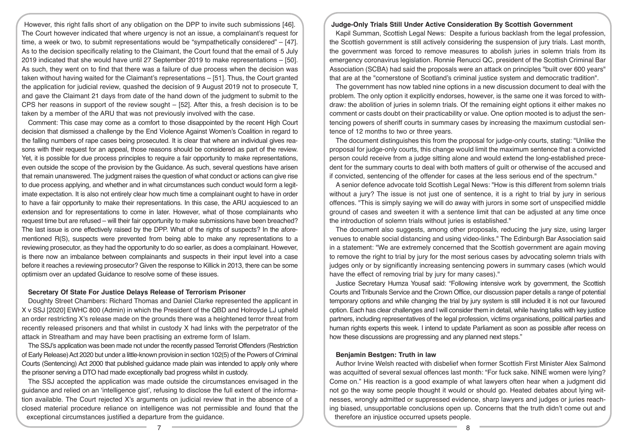However, this right falls short of any obligation on the DPP to invite such submissions [46]. The Court however indicated that where urgency is not an issue, a complainant's request for time, a week or two, to submit representations would be "sympathetically considered" – [47]. As to the decision specifically relating to the Claimant, the Court found that the email of 5 July 2019 indicated that she would have until 27 September 2019 to make representations – [50]. As such, they went on to find that there was a failure of due process when the decision was taken without having waited for the Claimant's representations – [51]. Thus, the Court granted the application for judicial review, quashed the decision of 9 August 2019 not to prosecute T, and gave the Claimant 21 days from date of the hand down of the judgment to submit to the CPS her reasons in support of the review sought – [52]. After this, a fresh decision is to be taken by a member of the ARU that was not previously involved with the case.

Comment: This case may come as a comfort to those disappointed by the recent High Court decision that dismissed a challenge by the End Violence Against Women's Coalition in regard to the falling numbers of rape cases being prosecuted. It is clear that where an individual gives reasons with their request for an appeal, those reasons should be considered as part of the review. Yet, it is possible for due process principles to require a fair opportunity to make representations, even outside the scope of the provision by the Guidance. As such, several questions have arisen that remain unanswered. The judgment raises the question of what conduct or actions can give rise to due process applying, and whether and in what circumstances such conduct would form a legitimate expectation. It is also not entirely clear how much time a complainant ought to have in order to have a fair opportunity to make their representations. In this case, the ARU acquiesced to an extension and for representations to come in later. However, what of those complainants who request time but are refused – will their fair opportunity to make submissions have been breached? The last issue is one effectively raised by the DPP. What of the rights of suspects? In the aforementioned R(S), suspects were prevented from being able to make any representations to a reviewing prosecutor, as they had the opportunity to do so earlier, as does a complainant. However, is there now an imbalance between complainants and suspects in their input level into a case before it reaches a reviewing prosecutor? Given the response to Killick in 2013, there can be some optimism over an updated Guidance to resolve some of these issues.

#### **Secretary Of State For Justice Delays Release of Terrorism Prisoner**

Doughty Street Chambers: Richard Thomas and Daniel Clarke represented the applicant in X v SSJ [2020] EWHC 800 (Admin) in which the President of the QBD and Holroyde LJ upheld an order restricting X's release made on the grounds there was a heightened terror threat from recently released prisoners and that whilst in custody X had links with the perpetrator of the attack in Streatham and may have been practising an extreme form of Islam.

The SSJ's application was been made not under the recently passed Terrorist Offenders (Restriction of Early Release) Act 2020 but under a little-known provision in section 102(5) of the Powers of Criminal Courts (Sentencing) Act 2000 that published guidance made plain was intended to apply only where the prisoner serving a DTO had made exceptionally bad progress whilst in custody.

The SSJ accepted the application was made outside the circumstances envisaged in the guidance and relied on an 'intelligence gist', refusing to disclose the full extent of the information available. The Court rejected X's arguments on judicial review that in the absence of a closed material procedure reliance on intelligence was not permissible and found that the exceptional circumstances justified a departure from the guidance.

# **Judge-Only Trials Still Under Active Consideration By Scottish Government**

Kapil Summan, Scottish Legal News: Despite a furious backlash from the legal profession, the Scottish government is still actively considering the suspension of jury trials. Last month, the government was forced to remove measures to abolish juries in solemn trials from its emergency coronavirus legislation. Ronnie Renucci QC, president of the Scottish Criminal Bar Association (SCBA) had said the proposals were an attack on principles "built over 600 years" that are at the "cornerstone of Scotland's criminal justice system and democratic tradition".

The government has now tabled nine options in a new discussion document to deal with the problem. The only option it explicitly endorses, however, is the same one it was forced to withdraw: the abolition of juries in solemn trials. Of the remaining eight options it either makes no comment or casts doubt on their practicability or value. One option mooted is to adjust the sentencing powers of sheriff courts in summary cases by increasing the maximum custodial sentence of 12 months to two or three years.

The document distinguishes this from the proposal for judge-only courts, stating: "Unlike the proposal for judge-only courts, this change would limit the maximum sentence that a convicted person could receive from a judge sitting alone and would extend the long-established precedent for the summary courts to deal with both matters of guilt or otherwise of the accused and if convicted, sentencing of the offender for cases at the less serious end of the spectrum."

A senior defence advocate told Scottish Legal News: "How is this different from solemn trials without a jury? The issue is not just one of sentence, it is a right to trial by jury in serious offences. "This is simply saying we will do away with jurors in some sort of unspecified middle ground of cases and sweeten it with a sentence limit that can be adjusted at any time once the introduction of solemn trials without juries is established."

The document also suggests, among other proposals, reducing the jury size, using larger venues to enable social distancing and using video-links." The Edinburgh Bar Association said in a statement: "We are extremely concerned that the Scottish government are again moving to remove the right to trial by jury for the most serious cases by advocating solemn trials with judges only or by significantly increasing sentencing powers in summary cases (which would have the effect of removing trial by jury for many cases)."

Justice Secretary Humza Yousaf said: "Following intensive work by government, the Scottish Courts and Tribunals Service and the Crown Office, our discussion paper details a range of potential temporary options and while changing the trial by jury system is still included it is not our favoured option. Each has clear challenges and I will consider them in detail, while having talks with key justice partners, including representatives of the legal profession, victims organisations, political parties and human rights experts this week. I intend to update Parliament as soon as possible after recess on how these discussions are progressing and any planned next steps."

# **Benjamin Bestgen: Truth in law**

Author Irvine Welsh reacted with disbelief when former Scottish First Minister Alex Salmond was acquitted of several sexual offences last month: "For fuck sake. NINE women were lying? Come on." His reaction is a good example of what lawyers often hear when a judgment did not go the way some people thought it would or should go. Heated debates about lying witnesses, wrongly admitted or suppressed evidence, sharp lawyers and judges or juries reaching biased, unsupportable conclusions open up. Concerns that the truth didn't come out and therefore an injustice occurred upsets people.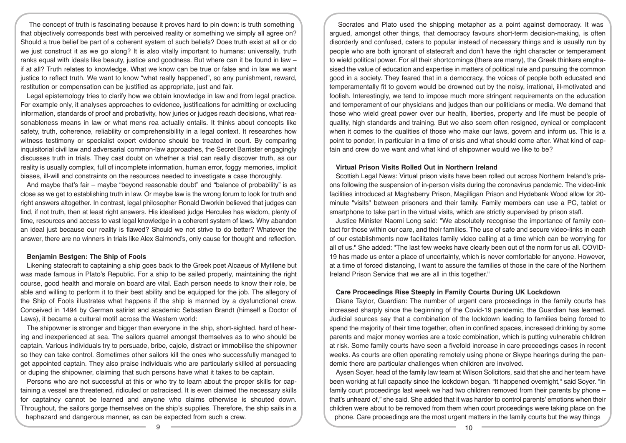The concept of truth is fascinating because it proves hard to pin down: is truth something that objectively corresponds best with perceived reality or something we simply all agree on? Should a true belief be part of a coherent system of such beliefs? Does truth exist at all or do we just construct it as we go along? It is also vitally important to humans: universally, truth ranks equal with ideals like beauty, justice and goodness. But where can it be found in law – if at all? Truth relates to knowledge. What we know can be true or false and in law we want justice to reflect truth. We want to know "what really happened", so any punishment, reward, restitution or compensation can be justified as appropriate, just and fair.

Legal epistemology tries to clarify how we obtain knowledge in law and from legal practice. For example only, it analyses approaches to evidence, justifications for admitting or excluding information, standards of proof and probativity, how juries or judges reach decisions, what reasonableness means in law or what mens rea actually entails. It thinks about concepts like safety, truth, coherence, reliability or comprehensibility in a legal context. It researches how witness testimony or specialist expert evidence should be treated in court. By comparing inquisitorial civil law and adversarial common-law approaches, the Secret Barrister engagingly discusses truth in trials. They cast doubt on whether a trial can really discover truth, as our reality is usually complex, full of incomplete information, human error, foggy memories, implicit biases, ill-will and constraints on the resources needed to investigate a case thoroughly.

And maybe that's fair – maybe "beyond reasonable doubt" and "balance of probability" is as close as we get to establishing truth in law. Or maybe law is the wrong forum to look for truth and right answers altogether. In contrast, legal philosopher Ronald Dworkin believed that judges can find, if not truth, then at least right answers. His idealised judge Hercules has wisdom, plenty of time, resources and access to vast legal knowledge in a coherent system of laws. Why abandon an ideal just because our reality is flawed? Should we not strive to do better? Whatever the answer, there are no winners in trials like Alex Salmond's, only cause for thought and reflection.

#### **Benjamin Bestgen: The Ship of Fools**

Likening statecraft to captaining a ship goes back to the Greek poet Alcaeus of Mytilene but was made famous in Plato's Republic. For a ship to be sailed properly, maintaining the right course, good health and morale on board are vital. Each person needs to know their role, be able and willing to perform it to their best ability and be equipped for the job. The allegory of the Ship of Fools illustrates what happens if the ship is manned by a dysfunctional crew. Conceived in 1494 by German satirist and academic Sebastian Brandt (himself a Doctor of Laws), it became a cultural motif across the Western world:

The shipowner is stronger and bigger than everyone in the ship, short-sighted, hard of hearing and inexperienced at sea. The sailors quarrel amongst themselves as to who should be captain. Various individuals try to persuade, bribe, cajole, distract or immobilise the shipowner so they can take control. Sometimes other sailors kill the ones who successfully managed to get appointed captain. They also praise individuals who are particularly skilled at persuading or duping the shipowner, claiming that such persons have what it takes to be captain.

Persons who are not successful at this or who try to learn about the proper skills for captaining a vessel are threatened, ridiculed or ostracised. It is even claimed the necessary skills for captaincy cannot be learned and anyone who claims otherwise is shouted down. Throughout, the sailors gorge themselves on the ship's supplies. Therefore, the ship sails in a haphazard and dangerous manner, as can be expected from such a crew.

Socrates and Plato used the shipping metaphor as a point against democracy. It was argued, amongst other things, that democracy favours short-term decision-making, is often disorderly and confused, caters to popular instead of necessary things and is usually run by people who are both ignorant of statecraft and don't have the right character or temperament to wield political power. For all their shortcomings (there are many), the Greek thinkers emphasised the value of education and expertise in matters of political rule and pursuing the common good in a society. They feared that in a democracy, the voices of people both educated and temperamentally fit to govern would be drowned out by the noisy, irrational, ill-motivated and foolish. Interestingly, we tend to impose much more stringent requirements on the education and temperament of our physicians and judges than our politicians or media. We demand that those who wield great power over our health, liberties, property and life must be people of quality, high standards and training. But we also seem often resigned, cynical or complacent when it comes to the qualities of those who make our laws, govern and inform us. This is a point to ponder, in particular in a time of crisis and what should come after. What kind of captain and crew do we want and what kind of shipowner would we like to be?

#### **Virtual Prison Visits Rolled Out in Northern Ireland**

Scottish Legal News: Virtual prison visits have been rolled out across Northern Ireland's prisons following the suspension of in-person visits during the coronavirus pandemic. The video-link facilities introduced at Maghaberry Prison, Magilligan Prison and Hydebank Wood allow for 20 minute "visits" between prisoners and their family. Family members can use a PC, tablet or smartphone to take part in the virtual visits, which are strictly supervised by prison staff.

Justice Minister Naomi Long said: "We absolutely recognise the importance of family contact for those within our care, and their families. The use of safe and secure video-links in each of our establishments now facilitates family video calling at a time which can be worrying for all of us." She added: "The last few weeks have clearly been out of the norm for us all. COVID-19 has made us enter a place of uncertainty, which is never comfortable for anyone. However, at a time of forced distancing, I want to assure the families of those in the care of the Northern Ireland Prison Service that we are all in this together."

# **Care Proceedings Rise Steeply in Family Courts During UK Lockdown**

Diane Taylor, Guardian: The number of urgent care proceedings in the family courts has increased sharply since the beginning of the Covid-19 pandemic, the Guardian has learned. Judicial sources say that a combination of the lockdown leading to families being forced to spend the majority of their time together, often in confined spaces, increased drinking by some parents and major money worries are a toxic combination, which is putting vulnerable children at risk. Some family courts have seen a fivefold increase in care proceedings cases in recent weeks. As courts are often operating remotely using phone or Skype hearings during the pandemic there are particular challenges when children are involved.

Aysen Soyer, head of the family law team at Wilson Solicitors, said that she and her team have been working at full capacity since the lockdown began. "It happened overnight," said Soyer. "In family court proceedings last week we had two children removed from their parents by phone that's unheard of," she said. She added that it was harder to control parents' emotions when their children were about to be removed from them when court proceedings were taking place on the phone. Care proceedings are the most urgent matters in the family courts but the way things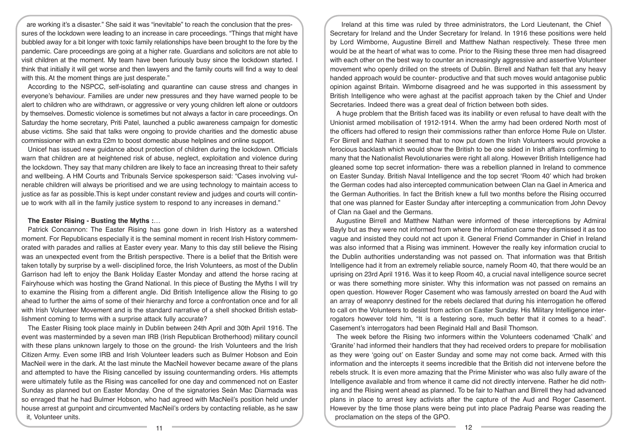are working it's a disaster." She said it was "inevitable" to reach the conclusion that the pressures of the lockdown were leading to an increase in care proceedings. "Things that might have bubbled away for a bit longer with toxic family relationships have been brought to the fore by the pandemic. Care proceedings are going at a higher rate. Guardians and solicitors are not able to visit children at the moment. My team have been furiously busy since the lockdown started. I think that initially it will get worse and then lawyers and the family courts will find a way to deal with this. At the moment things are just desperate."

According to the NSPCC, self-isolating and quarantine can cause stress and changes in everyone's behaviour. Families are under new pressures and they have warned people to be alert to children who are withdrawn, or aggressive or very young children left alone or outdoors by themselves. Domestic violence is sometimes but not always a factor in care proceedings. On Saturday the home secretary, Priti Patel, launched a public awareness campaign for domestic abuse victims. She said that talks were ongoing to provide charities and the domestic abuse commissioner with an extra £2m to boost domestic abuse helplines and online support.

Unicef has issued new guidance about protection of children during the lockdown. Officials warn that children are at heightened risk of abuse, neglect, exploitation and violence during the lockdown. They say that many children are likely to face an increasing threat to their safety and wellbeing. A HM Courts and Tribunals Service spokesperson said: "Cases involving vulnerable children will always be prioritised and we are using technology to maintain access to justice as far as possible.This is kept under constant review and judges and courts will continue to work with all in the family justice system to respond to any increases in demand."

#### **The Easter Rising - Busting the Myths :**…

Patrick Concannon: The Easter Rising has gone down in Irish History as a watershed moment. For Republicans especially it is the seminal moment in recent Irish History commemorated with parades and rallies at Easter every year. Many to this day still believe the Rising was an unexpected event from the British perspective. There is a belief that the British were taken totally by surprise by a well- disciplined force, the Irish Volunteers, as most of the Dublin Garrison had left to enjoy the Bank Holiday Easter Monday and attend the horse racing at Fairyhouse which was hosting the Grand National. In this piece of Busting the Myths I will try to examine the Rising from a different angle. Did British Intelligence allow the Rising to go ahead to further the aims of some of their hierarchy and force a confrontation once and for all with Irish Volunteer Movement and is the standard narrative of a shell shocked British establishment coming to terms with a surprise attack fully accurate?

The Easter Rising took place mainly in Dublin between 24th April and 30th April 1916. The event was masterminded by a seven man IRB (Irish Republican Brotherhood) military council with these plans unknown largely to those on the ground- the Irish Volunteers and the Irish Citizen Army. Even some IRB and Irish Volunteer leaders such as Bulmer Hobson and Eoin MacNeil were in the dark. At the last minute the MacNeil however became aware of the plans and attempted to have the Rising cancelled by issuing countermanding orders. His attempts were ultimately futile as the Rising was cancelled for one day and commenced not on Easter Sunday as planned but on Easter Monday. One of the signatories Seán Mac Diarmada was so enraged that he had Bulmer Hobson, who had agreed with MacNeil's position held under house arrest at gunpoint and circumvented MacNeil's orders by contacting reliable, as he saw it, Volunteer units.

Ireland at this time was ruled by three administrators, the Lord Lieutenant, the Chief Secretary for Ireland and the Under Secretary for Ireland. In 1916 these positions were held by Lord Wimborne, Augustine Birrell and Matthew Nathan respectively. These three men would be at the heart of what was to come. Prior to the Rising these three men had disagreed with each other on the best way to counter an increasingly aggressive and assertive Volunteer movement who openly drilled on the streets of Dublin. Birrell and Nathan felt that any heavy handed approach would be counter- productive and that such moves would antagonise public opinion against Britain. Wimborne disagreed and he was supported in this assessment by British Intelligence who were aghast at the pacifist approach taken by the Chief and Under Secretaries. Indeed there was a great deal of friction between both sides.

A huge problem that the British faced was its inability or even refusal to have dealt with the Unionist armed mobilisation of 1912-1914. When the army had been ordered North most of the officers had offered to resign their commissions rather than enforce Home Rule on Ulster. For Birrell and Nathan it seemed that to now put down the Irish Volunteers would provoke a ferocious backlash which would show the British to be one sided in Irish affairs confirming to many that the Nationalist Revolutionaries were right all along. However British Intelligence had gleaned some top secret information- there was a rebellion planned in Ireland to commence on Easter Sunday. British Naval Intelligence and the top secret 'Room 40' which had broken the German codes had also intercepted communication between Clan na Gael in America and the German Authorities. In fact the British knew a full two months before the Rising occurred that one was planned for Easter Sunday after intercepting a communication from John Devoy of Clan na Gael and the Germans.

Augustine Birrell and Matthew Nathan were informed of these interceptions by Admiral Bayly but as they were not informed from where the information came they dismissed it as too vague and insisted they could not act upon it. General Friend Commander in Chief in Ireland was also informed that a Rising was imminent. However the really key information crucial to the Dublin authorities understanding was not passed on. That information was that British Intelligence had it from an extremely reliable source, namely Room 40, that there would be an uprising on 23rd April 1916. Was it to keep Room 40, a crucial naval intelligence source secret or was there something more sinister. Why this information was not passed on remains an open question. However Roger Casement who was famously arrested on board the Aud with an array of weaponry destined for the rebels declared that during his interrogation he offered to call on the Volunteers to desist from action on Easter Sunday. His Military Intelligence interrogators however told him, "It is a festering sore, much better that it comes to a head". Casement's interrogators had been Reginald Hall and Basil Thomson.

The week before the Rising two informers within the Volunteers codenamed 'Chalk' and 'Granite' had informed their handlers that they had received orders to prepare for mobilisation as they were 'going out' on Easter Sunday and some may not come back. Armed with this information and the intercepts it seems incredible that the British did not intervene before the rebels struck. It is even more amazing that the Prime Minister who was also fully aware of the Intelligence available and from whence it came did not directly intervene. Rather he did nothing and the Rising went ahead as planned. To be fair to Nathan and Birrell they had advanced plans in place to arrest key activists after the capture of the Aud and Roger Casement. However by the time those plans were being put into place Padraig Pearse was reading the proclamation on the steps of the GPO.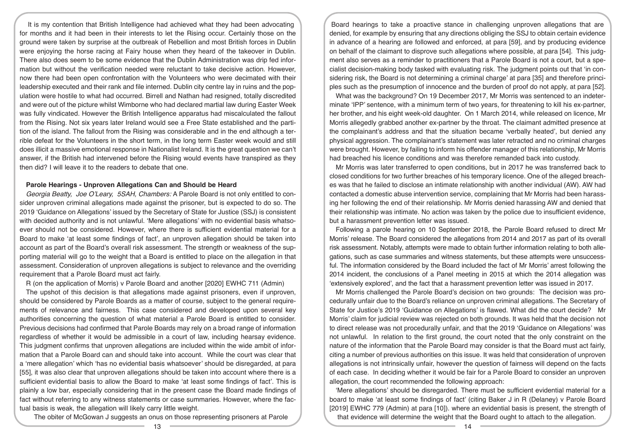It is my contention that British Intelligence had achieved what they had been advocating for months and it had been in their interests to let the Rising occur. Certainly those on the ground were taken by surprise at the outbreak of Rebellion and most British forces in Dublin were enjoying the horse racing at Fairy house when they heard of the takeover in Dublin. There also does seem to be some evidence that the Dublin Administration was drip fed information but without the verification needed were reluctant to take decisive action. However, now there had been open confrontation with the Volunteers who were decimated with their leadership executed and their rank and file interned. Dublin city centre lay in ruins and the population were hostile to what had occurred. Birrell and Nathan had resigned, totally discredited and were out of the picture whilst Wimborne who had declared martial law during Easter Week was fully vindicated. However the British Intelligence apparatus had miscalculated the fallout from the Rising. Not six years later Ireland would see a Free State established and the partition of the island. The fallout from the Rising was considerable and in the end although a terrible defeat for the Volunteers in the short term, in the long term Easter week would and still does illicit a massive emotional response in Nationalist Ireland. It is the great question we can't answer, if the British had intervened before the Rising would events have transpired as they then did? I will leave it to the readers to debate that one.

# **Parole Hearings - Unproven Allegations Can and Should be Heard**

*Georgia Beatty, Joe O'Leary, 5SAH, Chambers:* A Parole Board is not only entitled to consider unproven criminal allegations made against the prisoner, but is expected to do so. The 2019 'Guidance on Allegations' issued by the Secretary of State for Justice (SSJ) is consistent with decided authority and is not unlawful. 'Mere allegations' with no evidential basis whatsoever should not be considered. However, where there is sufficient evidential material for a Board to make 'at least some findings of fact', an unproven allegation should be taken into account as part of the Board's overall risk assessment. The strength or weakness of the supporting material will go to the weight that a Board is entitled to place on the allegation in that assessment. Consideration of unproven allegations is subject to relevance and the overriding requirement that a Parole Board must act fairly.

R (on the application of Morris) v Parole Board and another [2020] EWHC 711 (Admin)

The upshot of this decision is that allegations made against prisoners, even if unproven, should be considered by Parole Boards as a matter of course, subject to the general requirements of relevance and fairness. This case considered and developed upon several key authorities concerning the question of what material a Parole Board is entitled to consider. Previous decisions had confirmed that Parole Boards may rely on a broad range of information regardless of whether it would be admissible in a court of law, including hearsay evidence. This judgment confirms that unproven allegations are included within the wide ambit of information that a Parole Board can and should take into account. While the court was clear that a 'mere allegation' which 'has no evidential basis whatsoever' should be disregarded, at para [55], it was also clear that unproven allegations should be taken into account where there is a sufficient evidential basis to allow the Board to make 'at least some findings of fact'. This is plainly a low bar, especially considering that in the present case the Board made findings of fact without referring to any witness statements or case summaries. However, where the factual basis is weak, the allegation will likely carry little weight.

The obiter of McGowan J suggests an onus on those representing prisoners at Parole

Board hearings to take a proactive stance in challenging unproven allegations that are denied, for example by ensuring that any directions obliging the SSJ to obtain certain evidence in advance of a hearing are followed and enforced, at para [59], and by producing evidence on behalf of the claimant to disprove such allegations where possible, at para [54]. This judgment also serves as a reminder to practitioners that a Parole Board is not a court, but a specialist decision-making body tasked with evaluating risk. The judgment points out that 'in considering risk, the Board is not determining a criminal charge' at para [35] and therefore principles such as the presumption of innocence and the burden of proof do not apply, at para [52].

What was the background? On 19 December 2017, Mr Morris was sentenced to an indeterminate 'IPP' sentence, with a minimum term of two years, for threatening to kill his ex-partner, her brother, and his eight week-old daughter. On 1 March 2014, while released on licence, Mr Morris allegedly grabbed another ex-partner by the throat. The claimant admitted presence at the complainant's address and that the situation became 'verbally heated', but denied any physical aggression. The complainant's statement was later retracted and no criminal charges were brought. However, by failing to inform his offender manager of this relationship, Mr Morris had breached his licence conditions and was therefore remanded back into custody.

Mr Morris was later transferred to open conditions, but in 2017 he was transferred back to closed conditions for two further breaches of his temporary licence. One of the alleged breaches was that he failed to disclose an intimate relationship with another individual (AW). AW had contacted a domestic abuse intervention service, complaining that Mr Morris had been harassing her following the end of their relationship. Mr Morris denied harassing AW and denied that their relationship was intimate. No action was taken by the police due to insufficient evidence, but a harassment prevention letter was issued.

Following a parole hearing on 10 September 2018, the Parole Board refused to direct Mr Morris' release. The Board considered the allegations from 2014 and 2017 as part of its overall risk assessment. Notably, attempts were made to obtain further information relating to both allegations, such as case summaries and witness statements, but these attempts were unsuccessful. The information considered by the Board included the fact of Mr Morris' arrest following the 2014 incident, the conclusions of a Panel meeting in 2015 at which the 2014 allegation was 'extensively explored', and the fact that a harassment prevention letter was issued in 2017.

Mr Morris challenged the Parole Board's decision on two grounds: The decision was procedurally unfair due to the Board's reliance on unproven criminal allegations. The Secretary of State for Justice's 2019 'Guidance on Allegations' is flawed. What did the court decide? Mr Morris' claim for judicial review was rejected on both grounds. It was held that the decision not to direct release was not procedurally unfair, and that the 2019 'Guidance on Allegations' was not unlawful. In relation to the first ground, the court noted that the only constraint on the nature of the information that the Parole Board may consider is that the Board must act fairly, citing a number of previous authorities on this issue. It was held that consideration of unproven allegations is not intrinsically unfair, however the question of fairness will depend on the facts of each case. In deciding whether it would be fair for a Parole Board to consider an unproven allegation, the court recommended the following approach:

'Mere allegations' should be disregarded. There must be sufficient evidential material for a board to make 'at least some findings of fact' (citing Baker J in R (Delaney) v Parole Board [2019] EWHC 779 (Admin) at para [10]). where an evidential basis is present, the strength of that evidence will determine the weight that the Board ought to attach to the allegation.